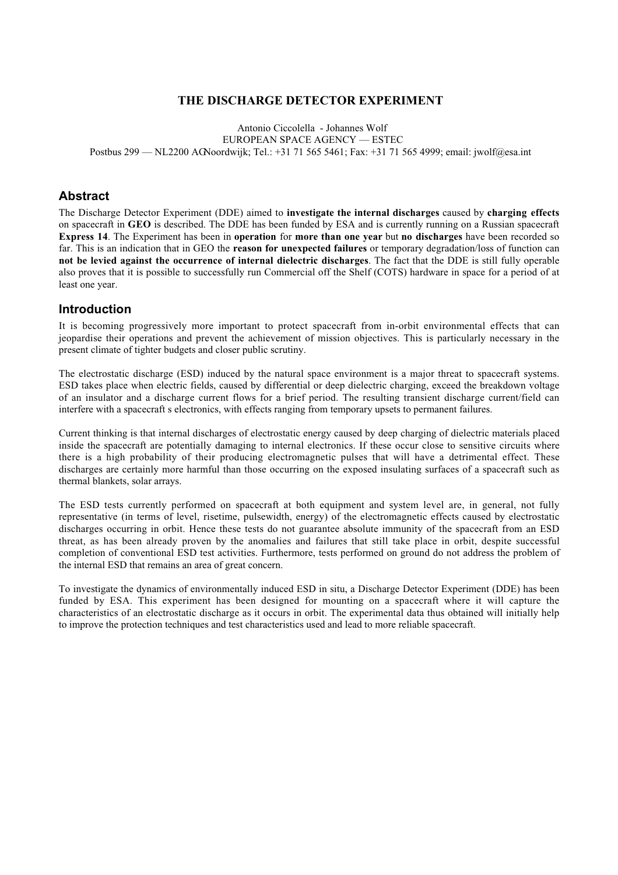### **THE DISCHARGE DETECTOR EXPERIMENT**

Antonio Ciccolella - Johannes Wolf EUROPEAN SPACE AGENCY — ESTEC Postbus 299 — NL2200 AG Noordwijk; Tel.: +31 71 565 5461; Fax: +31 71 565 4999; email: jwolf@esa.int

### **Abstract**

The Discharge Detector Experiment (DDE) aimed to **investigate the internal discharges** caused by **charging effects** on spacecraft in **GEO** is described. The DDE has been funded by ESA and is currently running on a Russian spacecraft **Express 14**. The Experiment has been in **operation** for **more than one year** but **no discharges** have been recorded so far. This is an indication that in GEO the **reason for unexpected failures** or temporary degradation/loss of function can **not be levied against the occurrence of internal dielectric discharges**. The fact that the DDE is still fully operable also proves that it is possible to successfully run Commercial off the Shelf (COTS) hardware in space for a period of at least one year.

### **Introduction**

It is becoming progressively more important to protect spacecraft from in-orbit environmental effects that can jeopardise their operations and prevent the achievement of mission objectives. This is particularly necessary in the present climate of tighter budgets and closer public scrutiny.

The electrostatic discharge (ESD) induced by the natural space environment is a major threat to spacecraft systems. ESD takes place when electric fields, caused by differential or deep dielectric charging, exceed the breakdown voltage of an insulator and a discharge current flows for a brief period. The resulting transient discharge current/field can interfere with a spacecraft s electronics, with effects ranging from temporary upsets to permanent failures.

Current thinking is that internal discharges of electrostatic energy caused by deep charging of dielectric materials placed inside the spacecraft are potentially damaging to internal electronics. If these occur close to sensitive circuits where there is a high probability of their producing electromagnetic pulses that will have a detrimental effect. These discharges are certainly more harmful than those occurring on the exposed insulating surfaces of a spacecraft such as thermal blankets, solar arrays.

The ESD tests currently performed on spacecraft at both equipment and system level are, in general, not fully representative (in terms of level, risetime, pulsewidth, energy) of the electromagnetic effects caused by electrostatic discharges occurring in orbit. Hence these tests do not guarantee absolute immunity of the spacecraft from an ESD threat, as has been already proven by the anomalies and failures that still take place in orbit, despite successful completion of conventional ESD test activities. Furthermore, tests performed on ground do not address the problem of the internal ESD that remains an area of great concern.

To investigate the dynamics of environmentally induced ESD in situ, a Discharge Detector Experiment (DDE) has been funded by ESA. This experiment has been designed for mounting on a spacecraft where it will capture the characteristics of an electrostatic discharge as it occurs in orbit. The experimental data thus obtained will initially help to improve the protection techniques and test characteristics used and lead to more reliable spacecraft.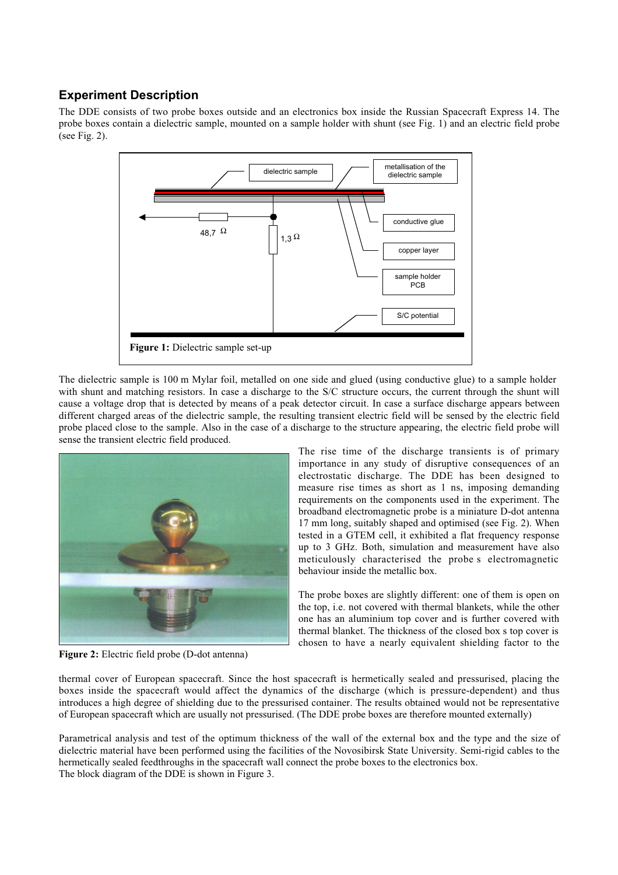# **Experiment Description**

The DDE consists of two probe boxes outside and an electronics box inside the Russian Spacecraft Express 14. The probe boxes contain a dielectric sample, mounted on a sample holder with shunt (see Fig. 1) and an electric field probe (see Fig. 2).



The dielectric sample is 100 m Mylar foil, metalled on one side and glued (using conductive glue) to a sample holder with shunt and matching resistors. In case a discharge to the S/C structure occurs, the current through the shunt will cause a voltage drop that is detected by means of a peak detector circuit. In case a surface discharge appears between different charged areas of the dielectric sample, the resulting transient electric field will be sensed by the electric field probe placed close to the sample. Also in the case of a discharge to the structure appearing, the electric field probe will sense the transient electric field produced.



The rise time of the discharge transients is of primary importance in any study of disruptive consequences of an electrostatic discharge. The DDE has been designed to measure rise times as short as 1 ns, imposing demanding requirements on the components used in the experiment. The broadband electromagnetic probe is a miniature D-dot antenna 17 mm long, suitably shaped and optimised (see Fig. 2). When tested in a GTEM cell, it exhibited a flat frequency response up to 3 GHz. Both, simulation and measurement have also meticulously characterised the probe s electromagnetic behaviour inside the metallic box.

The probe boxes are slightly different: one of them is open on the top, i.e. not covered with thermal blankets, while the other one has an aluminium top cover and is further covered with thermal blanket. The thickness of the closed box s top cover is chosen to have a nearly equivalent shielding factor to the

**Figure 2:** Electric field probe (D-dot antenna)

thermal cover of European spacecraft. Since the host spacecraft is hermetically sealed and pressurised, placing the boxes inside the spacecraft would affect the dynamics of the discharge (which is pressure-dependent) and thus introduces a high degree of shielding due to the pressurised container. The results obtained would not be representative of European spacecraft which are usually not pressurised. (The DDE probe boxes are therefore mounted externally)

Parametrical analysis and test of the optimum thickness of the wall of the external box and the type and the size of dielectric material have been performed using the facilities of the Novosibirsk State University. Semi-rigid cables to the hermetically sealed feedthroughs in the spacecraft wall connect the probe boxes to the electronics box. The block diagram of the DDE is shown in Figure 3.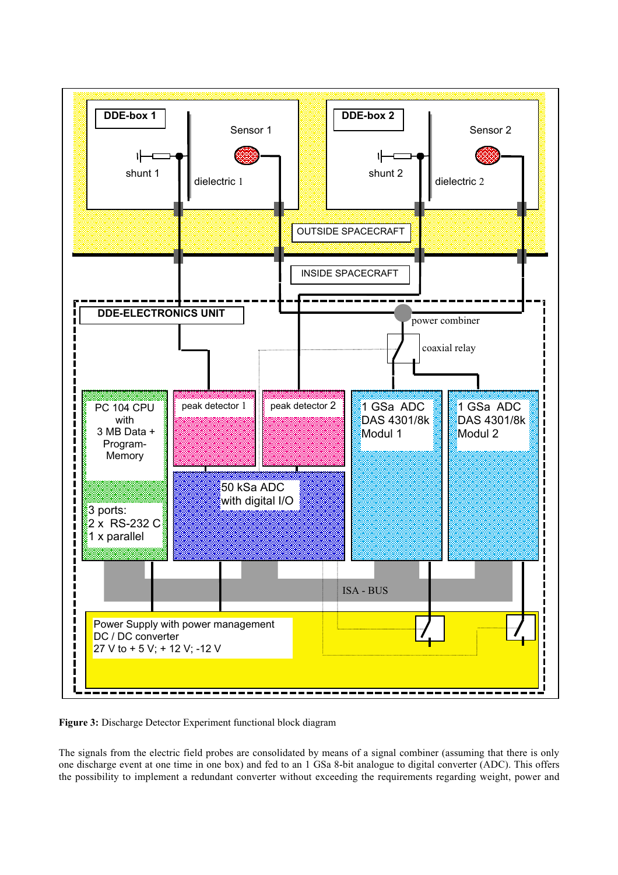

**Figure 3:** Discharge Detector Experiment functional block diagram

The signals from the electric field probes are consolidated by means of a signal combiner (assuming that there is only one discharge event at one time in one box) and fed to an 1 GSa 8-bit analogue to digital converter (ADC). This offers the possibility to implement a redundant converter without exceeding the requirements regarding weight, power and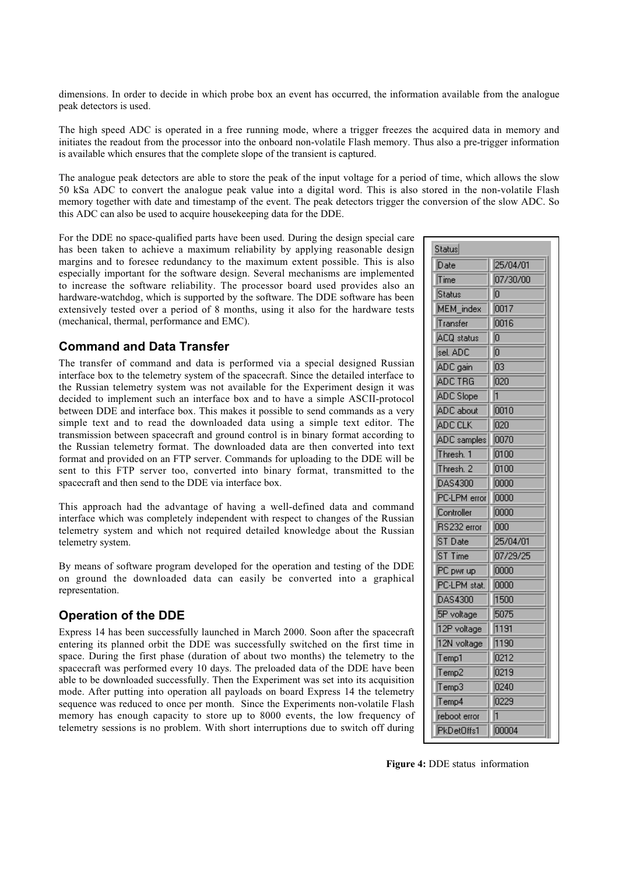dimensions. In order to decide in which probe box an event has occurred, the information available from the analogue peak detectors is used.

The high speed ADC is operated in a free running mode, where a trigger freezes the acquired data in memory and initiates the readout from the processor into the onboard non-volatile Flash memory. Thus also a pre-trigger information is available which ensures that the complete slope of the transient is captured.

The analogue peak detectors are able to store the peak of the input voltage for a period of time, which allows the slow 50 kSa ADC to convert the analogue peak value into a digital word. This is also stored in the non-volatile Flash memory together with date and timestamp of the event. The peak detectors trigger the conversion of the slow ADC. So this ADC can also be used to acquire housekeeping data for the DDE.

For the DDE no space-qualified parts have been used. During the design special care has been taken to achieve a maximum reliability by applying reasonable design margins and to foresee redundancy to the maximum extent possible. This is also especially important for the software design. Several mechanisms are implemented to increase the software reliability. The processor board used provides also an hardware-watchdog, which is supported by the software. The DDE software has been extensively tested over a period of 8 months, using it also for the hardware tests (mechanical, thermal, performance and EMC).

### **Command and Data Transfer**

The transfer of command and data is performed via a special designed Russian interface box to the telemetry system of the spacecraft. Since the detailed interface to the Russian telemetry system was not available for the Experiment design it was decided to implement such an interface box and to have a simple ASCII-protocol between DDE and interface box. This makes it possible to send commands as a very simple text and to read the downloaded data using a simple text editor. The transmission between spacecraft and ground control is in binary format according to the Russian telemetry format. The downloaded data are then converted into text format and provided on an FTP server. Commands for uploading to the DDE will be sent to this FTP server too, converted into binary format, transmitted to the spacecraft and then send to the DDE via interface box.

This approach had the advantage of having a well-defined data and command interface which was completely independent with respect to changes of the Russian telemetry system and which not required detailed knowledge about the Russian telemetry system.

By means of software program developed for the operation and testing of the DDE on ground the downloaded data can easily be converted into a graphical representation.

### **Operation of the DDE**

Express 14 has been successfully launched in March 2000. Soon after the spacecraft entering its planned orbit the DDE was successfully switched on the first time in space. During the first phase (duration of about two months) the telemetry to the spacecraft was performed every 10 days. The preloaded data of the DDE have been able to be downloaded successfully. Then the Experiment was set into its acquisition mode. After putting into operation all payloads on board Express 14 the telemetry sequence was reduced to once per month. Since the Experiments non-volatile Flash memory has enough capacity to store up to 8000 events, the low frequency of telemetry sessions is no problem. With short interruptions due to switch off during

| Date               | 25/04/01 |
|--------------------|----------|
| Time               | 07/30/00 |
| Status             | 10       |
| <b>MEM</b> index   | 0017     |
| Transfer           | 0016     |
| ACQ status         | IO       |
| sel. ADC           | ō        |
| ADC gain           | 03       |
| <b>ADC TRG</b>     | 020      |
| <b>ADC</b> Slope   | i        |
| ADC about          | 0010     |
| ADC CLK            | 020      |
| <b>ADC</b> samples | 0070     |
| Thresh, 1          | 0100     |
| Thresh, 2          | 0100     |
| DAS4300            | 0000     |
| PC-LPM error       | 0000     |
| Controller         | 0000     |
| RS232 error        | 000      |
| ST Date            | 25/04/01 |
| ST Time            | 07/29/25 |
| PC pwr up          | 0000     |
| PC-LPM stat.       | 0000     |
| DAS4300            | 1500     |
| 5P voltage         | 5075     |
| 12P voltage        | 1191     |
| 12N voltage        | 1190     |
| Temp1              | 0212     |
| Temp2              | 0219     |
| Temp3              | 0240     |
| Temp <sub>4</sub>  | 0229     |
| reboot error       | 1        |
| PkDetOffs1         | 00004    |

**Figure 4:** DDE status information